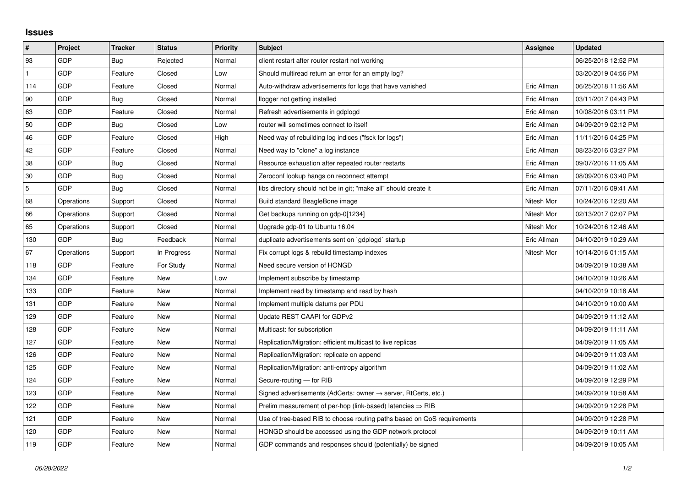## **Issues**

| $\sharp$   | Project    | <b>Tracker</b> | <b>Status</b> | <b>Priority</b> | <b>Subject</b>                                                             | Assignee    | <b>Updated</b>      |
|------------|------------|----------------|---------------|-----------------|----------------------------------------------------------------------------|-------------|---------------------|
| 93         | GDP        | Bug            | Rejected      | Normal          | client restart after router restart not working                            |             | 06/25/2018 12:52 PM |
|            | GDP        | Feature        | Closed        | Low             | Should multiread return an error for an empty log?                         |             | 03/20/2019 04:56 PM |
| 114        | GDP        | Feature        | Closed        | Normal          | Auto-withdraw advertisements for logs that have vanished                   | Eric Allman | 06/25/2018 11:56 AM |
| 90         | GDP        | Bug            | Closed        | Normal          | llogger not getting installed                                              | Eric Allman | 03/11/2017 04:43 PM |
| 63         | GDP        | Feature        | Closed        | Normal          | Refresh advertisements in gdplogd                                          | Eric Allman | 10/08/2016 03:11 PM |
| 50         | GDP        | Bug            | Closed        | Low             | router will sometimes connect to itself                                    | Eric Allman | 04/09/2019 02:12 PM |
| 46         | GDP        | Feature        | Closed        | High            | Need way of rebuilding log indices ("fsck for logs")                       | Eric Allman | 11/11/2016 04:25 PM |
| 42         | GDP        | Feature        | Closed        | Normal          | Need way to "clone" a log instance                                         | Eric Allman | 08/23/2016 03:27 PM |
| 38         | GDP        | Bug            | Closed        | Normal          | Resource exhaustion after repeated router restarts                         | Eric Allman | 09/07/2016 11:05 AM |
| 30         | <b>GDP</b> | Bug            | Closed        | Normal          | Zeroconf lookup hangs on reconnect attempt                                 | Eric Allman | 08/09/2016 03:40 PM |
| $\sqrt{5}$ | GDP        | Bug            | Closed        | Normal          | libs directory should not be in git; "make all" should create it           | Eric Allman | 07/11/2016 09:41 AM |
| 68         | Operations | Support        | Closed        | Normal          | Build standard BeagleBone image                                            | Nitesh Mor  | 10/24/2016 12:20 AM |
| 66         | Operations | Support        | Closed        | Normal          | Get backups running on gdp-0[1234]                                         | Nitesh Mor  | 02/13/2017 02:07 PM |
| 65         | Operations | Support        | Closed        | Normal          | Upgrade gdp-01 to Ubuntu 16.04                                             | Nitesh Mor  | 10/24/2016 12:46 AM |
| 130        | <b>GDP</b> | Bug            | Feedback      | Normal          | duplicate advertisements sent on `gdplogd` startup                         | Eric Allman | 04/10/2019 10:29 AM |
| 67         | Operations | Support        | In Progress   | Normal          | Fix corrupt logs & rebuild timestamp indexes                               | Nitesh Mor  | 10/14/2016 01:15 AM |
| 118        | <b>GDP</b> | Feature        | For Study     | Normal          | Need secure version of HONGD                                               |             | 04/09/2019 10:38 AM |
| 134        | <b>GDP</b> | Feature        | New           | Low             | Implement subscribe by timestamp                                           |             | 04/10/2019 10:26 AM |
| 133        | <b>GDP</b> | Feature        | New           | Normal          | Implement read by timestamp and read by hash                               |             | 04/10/2019 10:18 AM |
| 131        | GDP        | Feature        | New           | Normal          | Implement multiple datums per PDU                                          |             | 04/10/2019 10:00 AM |
| 129        | <b>GDP</b> | Feature        | New           | Normal          | Update REST CAAPI for GDPv2                                                |             | 04/09/2019 11:12 AM |
| 128        | <b>GDP</b> | Feature        | New           | Normal          | Multicast: for subscription                                                |             | 04/09/2019 11:11 AM |
| 127        | GDP        | Feature        | New           | Normal          | Replication/Migration: efficient multicast to live replicas                |             | 04/09/2019 11:05 AM |
| 126        | GDP        | Feature        | <b>New</b>    | Normal          | Replication/Migration: replicate on append                                 |             | 04/09/2019 11:03 AM |
| 125        | <b>GDP</b> | Feature        | New           | Normal          | Replication/Migration: anti-entropy algorithm                              |             | 04/09/2019 11:02 AM |
| 124        | GDP        | Feature        | New           | Normal          | Secure-routing - for RIB                                                   |             | 04/09/2019 12:29 PM |
| 123        | GDP        | Feature        | <b>New</b>    | Normal          | Signed advertisements (AdCerts: owner $\rightarrow$ server, RtCerts, etc.) |             | 04/09/2019 10:58 AM |
| 122        | <b>GDP</b> | Feature        | <b>New</b>    | Normal          | Prelim measurement of per-hop (link-based) latencies $\Rightarrow$ RIB     |             | 04/09/2019 12:28 PM |
| 121        | <b>GDP</b> | Feature        | <b>New</b>    | Normal          | Use of tree-based RIB to choose routing paths based on QoS requirements    |             | 04/09/2019 12:28 PM |
| 120        | GDP        | Feature        | New           | Normal          | HONGD should be accessed using the GDP network protocol                    |             | 04/09/2019 10:11 AM |
| 119        | GDP        | Feature        | <b>New</b>    | Normal          | GDP commands and responses should (potentially) be signed                  |             | 04/09/2019 10:05 AM |